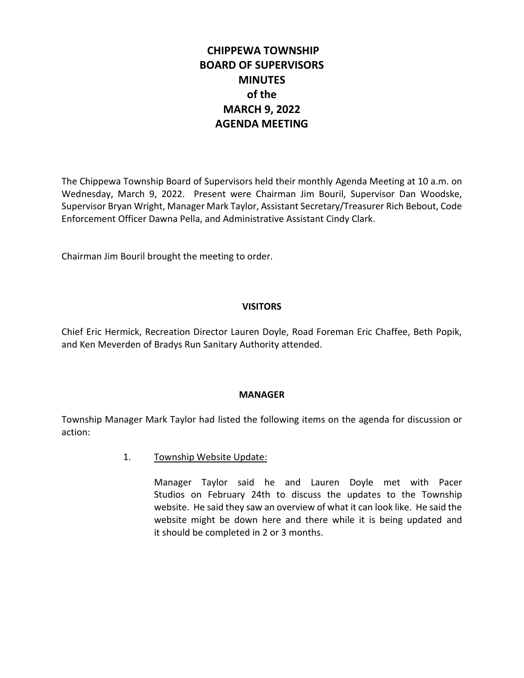# **CHIPPEWA TOWNSHIP BOARD OF SUPERVISORS MINUTES of the MARCH 9, 2022 AGENDA MEETING**

The Chippewa Township Board of Supervisors held their monthly Agenda Meeting at 10 a.m. on Wednesday, March 9, 2022. Present were Chairman Jim Bouril, Supervisor Dan Woodske, Supervisor Bryan Wright, Manager Mark Taylor, Assistant Secretary/Treasurer Rich Bebout, Code Enforcement Officer Dawna Pella, and Administrative Assistant Cindy Clark.

Chairman Jim Bouril brought the meeting to order.

## **VISITORS**

Chief Eric Hermick, Recreation Director Lauren Doyle, Road Foreman Eric Chaffee, Beth Popik, and Ken Meverden of Bradys Run Sanitary Authority attended.

### **MANAGER**

Township Manager Mark Taylor had listed the following items on the agenda for discussion or action:

1. Township Website Update:

Manager Taylor said he and Lauren Doyle met with Pacer Studios on February 24th to discuss the updates to the Township website. He said they saw an overview of what it can look like. He said the website might be down here and there while it is being updated and it should be completed in 2 or 3 months.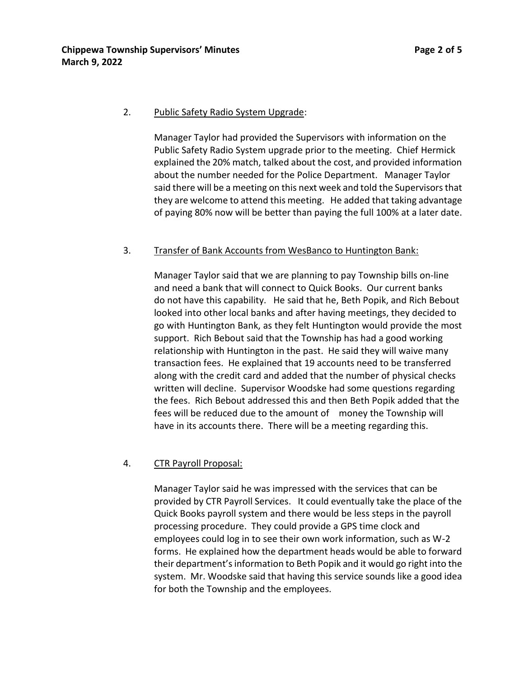#### 2. Public Safety Radio System Upgrade:

Manager Taylor had provided the Supervisors with information on the Public Safety Radio System upgrade prior to the meeting. Chief Hermick explained the 20% match, talked about the cost, and provided information about the number needed for the Police Department. Manager Taylor said there will be a meeting on this next week and told the Supervisors that they are welcome to attend this meeting. He added that taking advantage of paying 80% now will be better than paying the full 100% at a later date.

### 3. Transfer of Bank Accounts from WesBanco to Huntington Bank:

Manager Taylor said that we are planning to pay Township bills on-line and need a bank that will connect to Quick Books. Our current banks do not have this capability. He said that he, Beth Popik, and Rich Bebout looked into other local banks and after having meetings, they decided to go with Huntington Bank, as they felt Huntington would provide the most support. Rich Bebout said that the Township has had a good working relationship with Huntington in the past. He said they will waive many transaction fees. He explained that 19 accounts need to be transferred along with the credit card and added that the number of physical checks written will decline. Supervisor Woodske had some questions regarding the fees. Rich Bebout addressed this and then Beth Popik added that the fees will be reduced due to the amount of money the Township will have in its accounts there. There will be a meeting regarding this.

### 4. CTR Payroll Proposal:

Manager Taylor said he was impressed with the services that can be provided by CTR Payroll Services. It could eventually take the place of the Quick Books payroll system and there would be less steps in the payroll processing procedure. They could provide a GPS time clock and employees could log in to see their own work information, such as W-2 forms. He explained how the department heads would be able to forward their department's information to Beth Popik and it would go right into the system. Mr. Woodske said that having this service sounds like a good idea for both the Township and the employees.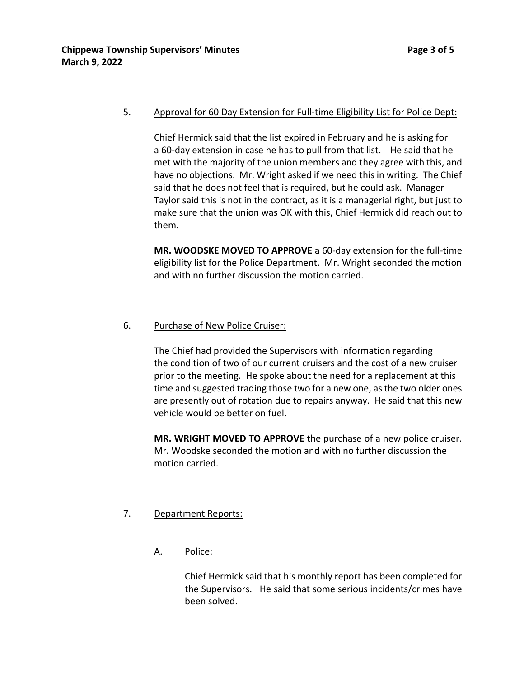### 5. Approval for 60 Day Extension for Full-time Eligibility List for Police Dept:

Chief Hermick said that the list expired in February and he is asking for a 60-day extension in case he has to pull from that list. He said that he met with the majority of the union members and they agree with this, and have no objections. Mr. Wright asked if we need this in writing. The Chief said that he does not feel that is required, but he could ask. Manager Taylor said this is not in the contract, as it is a managerial right, but just to make sure that the union was OK with this, Chief Hermick did reach out to them.

**MR. WOODSKE MOVED TO APPROVE** a 60-day extension for the full-time eligibility list for the Police Department. Mr. Wright seconded the motion and with no further discussion the motion carried.

### 6. Purchase of New Police Cruiser:

The Chief had provided the Supervisors with information regarding the condition of two of our current cruisers and the cost of a new cruiser prior to the meeting. He spoke about the need for a replacement at this time and suggested trading those two for a new one, as the two older ones are presently out of rotation due to repairs anyway. He said that this new vehicle would be better on fuel.

**MR. WRIGHT MOVED TO APPROVE** the purchase of a new police cruiser. Mr. Woodske seconded the motion and with no further discussion the motion carried.

# 7. Department Reports:

A. Police:

Chief Hermick said that his monthly report has been completed for the Supervisors. He said that some serious incidents/crimes have been solved.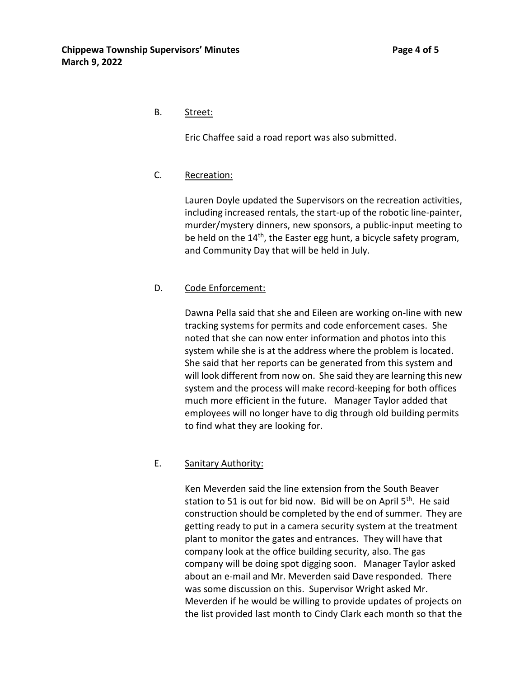## B. Street:

Eric Chaffee said a road report was also submitted.

## C. Recreation:

Lauren Doyle updated the Supervisors on the recreation activities, including increased rentals, the start-up of the robotic line-painter, murder/mystery dinners, new sponsors, a public-input meeting to be held on the 14<sup>th</sup>, the Easter egg hunt, a bicycle safety program, and Community Day that will be held in July.

# D. Code Enforcement:

Dawna Pella said that she and Eileen are working on-line with new tracking systems for permits and code enforcement cases. She noted that she can now enter information and photos into this system while she is at the address where the problem is located. She said that her reports can be generated from this system and will look different from now on. She said they are learning this new system and the process will make record-keeping for both offices much more efficient in the future. Manager Taylor added that employees will no longer have to dig through old building permits to find what they are looking for.

# E. Sanitary Authority:

Ken Meverden said the line extension from the South Beaver station to 51 is out for bid now. Bid will be on April 5<sup>th</sup>. He said construction should be completed by the end of summer. They are getting ready to put in a camera security system at the treatment plant to monitor the gates and entrances. They will have that company look at the office building security, also. The gas company will be doing spot digging soon. Manager Taylor asked about an e-mail and Mr. Meverden said Dave responded. There was some discussion on this. Supervisor Wright asked Mr. Meverden if he would be willing to provide updates of projects on the list provided last month to Cindy Clark each month so that the